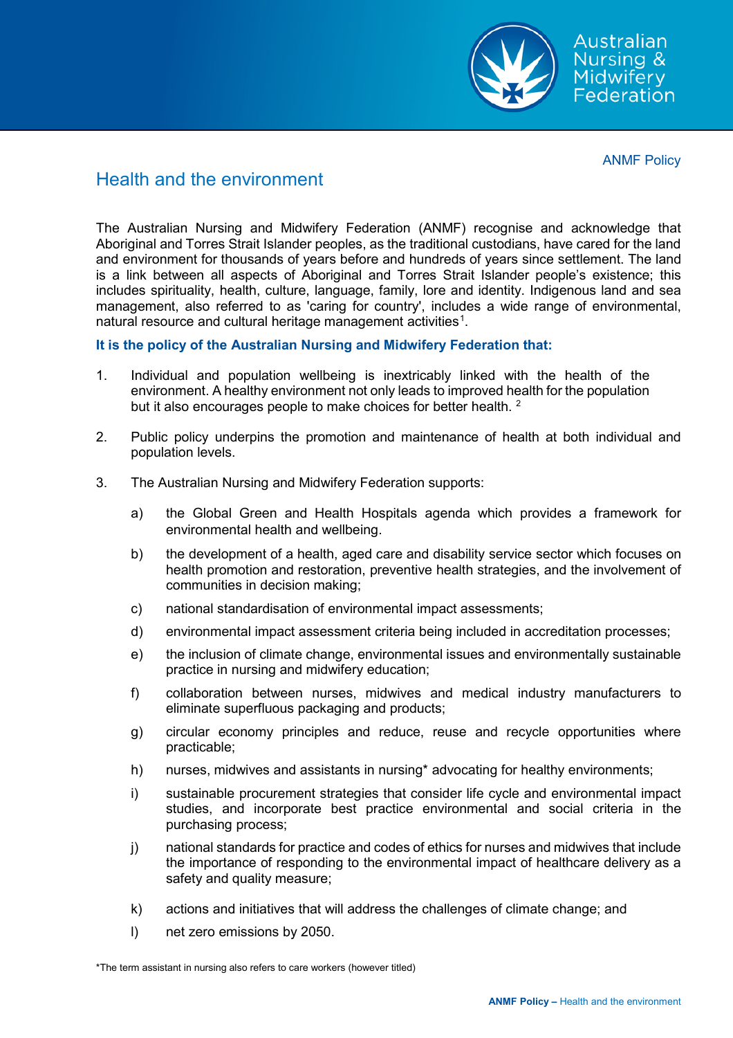

Australian Nursing & Midwifery . ............<br>Federation

ANMF Policy

## Health and the environment

The Australian Nursing and Midwifery Federation (ANMF) recognise and acknowledge that Aboriginal and Torres Strait Islander peoples, as the traditional custodians, have cared for the land and environment for thousands of years before and hundreds of years since settlement. The land is a link between all aspects of Aboriginal and Torres Strait Islander people's existence; this includes spirituality, health, culture, language, family, lore and identity. Indigenous land and sea management, also referred to as 'caring for country', includes a wide range of environmental, natural resource and cultural heritage management activities $^{\rm 1}.$  $^{\rm 1}.$  $^{\rm 1}.$ 

## **It is the policy of the Australian Nursing and Midwifery Federation that:**

- 1. Individual and population wellbeing is inextricably linked with the health of the environment. A healthy environment not only leads to improved health for the population but it also encourages people to make choices for better health. <sup>2</sup>
- 2. Public policy underpins the promotion and maintenance of health at both individual and population levels.
- 3. The Australian Nursing and Midwifery Federation supports:
	- a) the Global Green and Health Hospitals agenda which provides a framework for environmental health and wellbeing.
	- b) the development of a health, aged care and disability service sector which focuses on health promotion and restoration, preventive health strategies, and the involvement of communities in decision making;
	- c) national standardisation of environmental impact assessments;
	- d) environmental impact assessment criteria being included in accreditation processes;
	- e) the inclusion of climate change, environmental issues and environmentally sustainable practice in nursing and midwifery education;
	- f) collaboration between nurses, midwives and medical industry manufacturers to eliminate superfluous packaging and products;
	- g) circular economy principles and reduce, reuse and recycle opportunities where practicable;
	- h) nurses, midwives and assistants in nursing\* advocating for healthy environments;
	- i) sustainable procurement strategies that consider life cycle and environmental impact studies, and incorporate best practice environmental and social criteria in the purchasing process;
	- j) national standards for practice and codes of ethics for nurses and midwives that include the importance of responding to the environmental impact of healthcare delivery as a safety and quality measure;
	- k) actions and initiatives that will address the challenges of climate change; and
	- l) net zero emissions by 2050.

<sup>\*</sup>The term assistant in nursing also refers to care workers (however titled)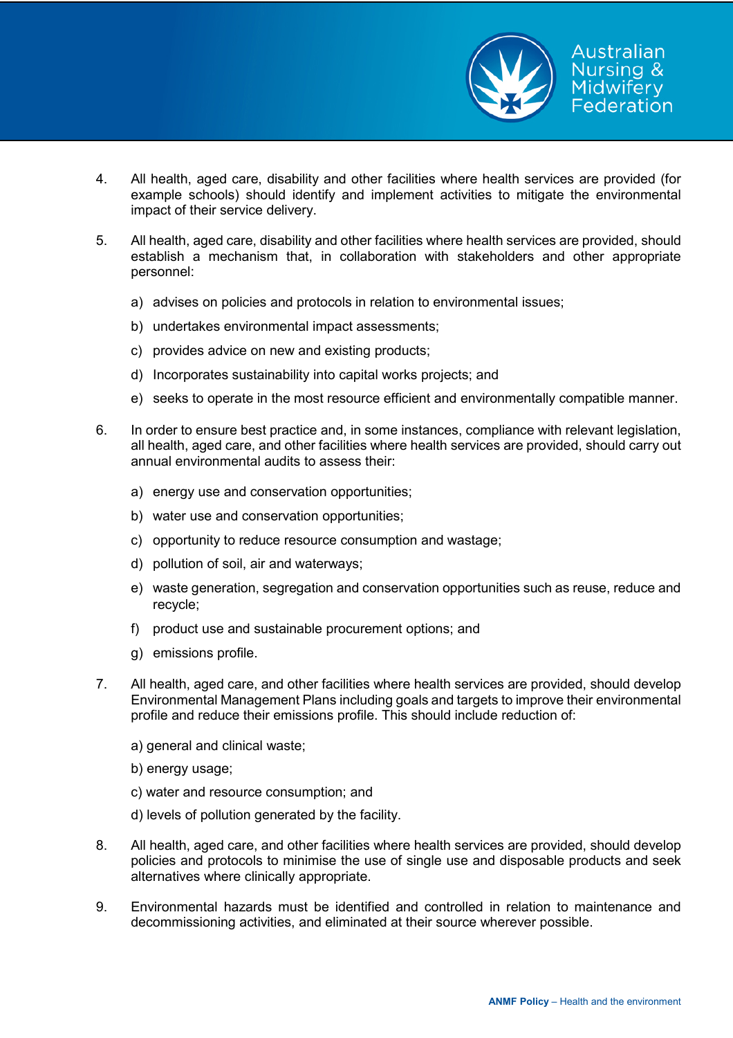

- 4. All health, aged care, disability and other facilities where health services are provided (for example schools) should identify and implement activities to mitigate the environmental impact of their service delivery.
- 5. All health, aged care, disability and other facilities where health services are provided, should establish a mechanism that, in collaboration with stakeholders and other appropriate personnel:
	- a) advises on policies and protocols in relation to environmental issues;
	- b) undertakes environmental impact assessments;
	- c) provides advice on new and existing products;
	- d) Incorporates sustainability into capital works projects; and
	- e) seeks to operate in the most resource efficient and environmentally compatible manner.
- 6. In order to ensure best practice and, in some instances, compliance with relevant legislation, all health, aged care, and other facilities where health services are provided, should carry out annual environmental audits to assess their:
	- a) energy use and conservation opportunities;
	- b) water use and conservation opportunities;
	- c) opportunity to reduce resource consumption and wastage;
	- d) pollution of soil, air and waterways;
	- e) waste generation, segregation and conservation opportunities such as reuse, reduce and recycle;
	- f) product use and sustainable procurement options; and
	- g) emissions profile.
- 7. All health, aged care, and other facilities where health services are provided, should develop Environmental Management Plans including goals and targets to improve their environmental profile and reduce their emissions profile. This should include reduction of:
	- a) general and clinical waste;
	- b) energy usage;
	- c) water and resource consumption; and
	- d) levels of pollution generated by the facility.
- 8. All health, aged care, and other facilities where health services are provided, should develop policies and protocols to minimise the use of single use and disposable products and seek alternatives where clinically appropriate.
- 9. Environmental hazards must be identified and controlled in relation to maintenance and decommissioning activities, and eliminated at their source wherever possible.